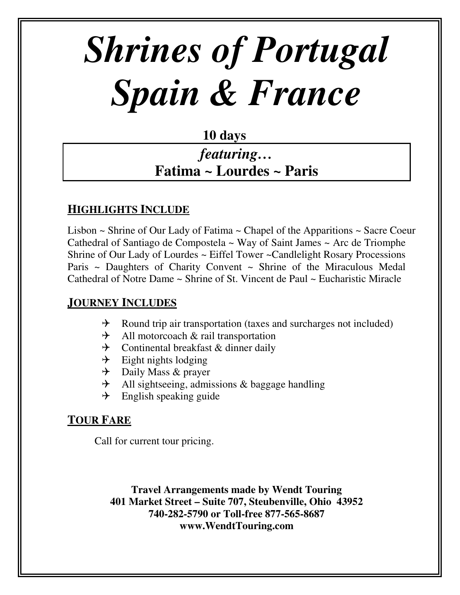# *Shrines of Portugal Spain & France*

## **10 days**

# *featuring…* **Fatima ~ Lourdes ~ Paris**

#### **HIGHLIGHTS INCLUDE**

Lisbon ~ Shrine of Our Lady of Fatima ~ Chapel of the Apparitions ~ Sacre Coeur Cathedral of Santiago de Compostela ~ Way of Saint James ~ Arc de Triomphe Shrine of Our Lady of Lourdes ~ Eiffel Tower ~Candlelight Rosary Processions Paris ~ Daughters of Charity Convent ~ Shrine of the Miraculous Medal Cathedral of Notre Dame ~ Shrine of St. Vincent de Paul ~ Eucharistic Miracle

#### **JOURNEY INCLUDES**

- $\rightarrow$  Round trip air transportation (taxes and surcharges not included)
- $\rightarrow$  All motorcoach & rail transportation
- $\rightarrow$  Continental breakfast & dinner daily
- $\rightarrow$  Eight nights lodging
- $\rightarrow$  Daily Mass & prayer
- $\rightarrow$  All sightseeing, admissions & baggage handling
- $\rightarrow$  English speaking guide

### **TOUR FARE**

Call for current tour pricing.

**Travel Arrangements made by Wendt Touring 401 Market Street – Suite 707, Steubenville, Ohio 43952 740-282-5790 or Toll-free 877-565-8687 www.WendtTouring.com**